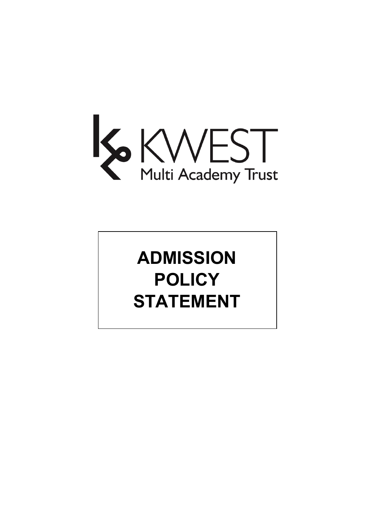

# **ADMISSION POLICY STATEMENT**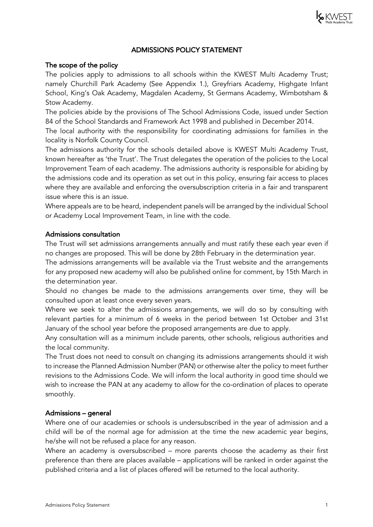

## ADMISSIONS POLICY STATEMENT

#### The scope of the policy

The policies apply to admissions to all schools within the KWEST Multi Academy Trust; namely Churchill Park Academy (See Appendix 1.), Greyfriars Academy, Highgate Infant School, King's Oak Academy, Magdalen Academy, St Germans Academy, Wimbotsham & Stow Academy.

The policies abide by the provisions of The School Admissions Code, issued under Section 84 of the School Standards and Framework Act 1998 and published in December 2014.

The local authority with the responsibility for coordinating admissions for families in the locality is Norfolk County Council.

The admissions authority for the schools detailed above is KWEST Multi Academy Trust, known hereafter as 'the Trust'. The Trust delegates the operation of the policies to the Local Improvement Team of each academy. The admissions authority is responsible for abiding by the admissions code and its operation as set out in this policy, ensuring fair access to places where they are available and enforcing the oversubscription criteria in a fair and transparent issue where this is an issue.

Where appeals are to be heard, independent panels will be arranged by the individual School or Academy Local Improvement Team, in line with the code.

#### Admissions consultation

The Trust will set admissions arrangements annually and must ratify these each year even if no changes are proposed. This will be done by 28th February in the determination year.

The admissions arrangements will be available via the Trust website and the arrangements for any proposed new academy will also be published online for comment, by 15th March in the determination year.

Should no changes be made to the admissions arrangements over time, they will be consulted upon at least once every seven years.

Where we seek to alter the admissions arrangements, we will do so by consulting with relevant parties for a minimum of 6 weeks in the period between 1st October and 31st January of the school year before the proposed arrangements are due to apply.

Any consultation will as a minimum include parents, other schools, religious authorities and the local community.

The Trust does not need to consult on changing its admissions arrangements should it wish to increase the Planned Admission Number (PAN) or otherwise alter the policy to meet further revisions to the Admissions Code. We will inform the local authority in good time should we wish to increase the PAN at any academy to allow for the co-ordination of places to operate smoothly.

#### Admissions – general

Where one of our academies or schools is undersubscribed in the year of admission and a child will be of the normal age for admission at the time the new academic year begins, he/she will not be refused a place for any reason.

Where an academy is oversubscribed – more parents choose the academy as their first preference than there are places available – applications will be ranked in order against the published criteria and a list of places offered will be returned to the local authority.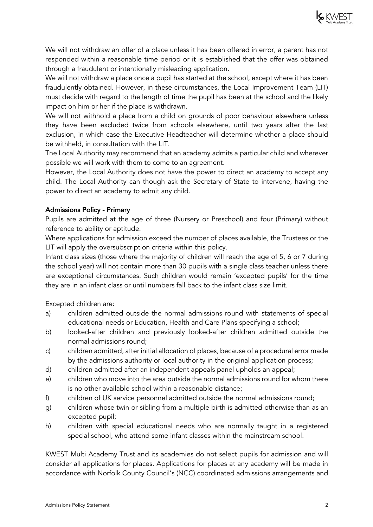

We will not withdraw an offer of a place unless it has been offered in error, a parent has not responded within a reasonable time period or it is established that the offer was obtained through a fraudulent or intentionally misleading application.

We will not withdraw a place once a pupil has started at the school, except where it has been fraudulently obtained. However, in these circumstances, the Local Improvement Team (LIT) must decide with regard to the length of time the pupil has been at the school and the likely impact on him or her if the place is withdrawn.

We will not withhold a place from a child on grounds of poor behaviour elsewhere unless they have been excluded twice from schools elsewhere, until two years after the last exclusion, in which case the Executive Headteacher will determine whether a place should be withheld, in consultation with the LIT.

The Local Authority may recommend that an academy admits a particular child and wherever possible we will work with them to come to an agreement.

However, the Local Authority does not have the power to direct an academy to accept any child. The Local Authority can though ask the Secretary of State to intervene, having the power to direct an academy to admit any child.

## Admissions Policy - Primary

Pupils are admitted at the age of three (Nursery or Preschool) and four (Primary) without reference to ability or aptitude.

Where applications for admission exceed the number of places available, the Trustees or the LIT will apply the oversubscription criteria within this policy.

Infant class sizes (those where the majority of children will reach the age of 5, 6 or 7 during the school year) will not contain more than 30 pupils with a single class teacher unless there are exceptional circumstances. Such children would remain 'excepted pupils' for the time they are in an infant class or until numbers fall back to the infant class size limit.

Excepted children are:

- a) children admitted outside the normal admissions round with statements of special educational needs or Education, Health and Care Plans specifying a school;
- b) looked-after children and previously looked-after children admitted outside the normal admissions round;
- c) children admitted, after initial allocation of places, because of a procedural error made by the admissions authority or local authority in the original application process;
- d) children admitted after an independent appeals panel upholds an appeal;
- e) children who move into the area outside the normal admissions round for whom there is no other available school within a reasonable distance;
- f) children of UK service personnel admitted outside the normal admissions round;
- g) children whose twin or sibling from a multiple birth is admitted otherwise than as an excepted pupil;
- h) children with special educational needs who are normally taught in a registered special school, who attend some infant classes within the mainstream school.

KWEST Multi Academy Trust and its academies do not select pupils for admission and will consider all applications for places. Applications for places at any academy will be made in accordance with Norfolk County Council's (NCC) coordinated admissions arrangements and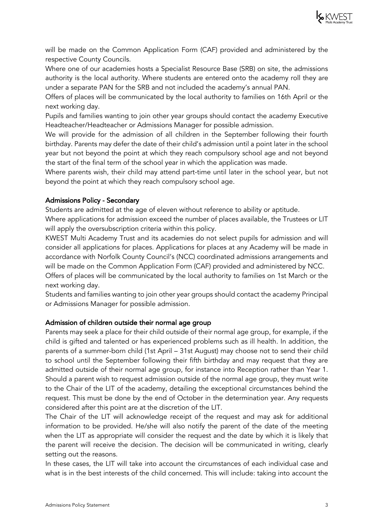

will be made on the Common Application Form (CAF) provided and administered by the respective County Councils.

Where one of our academies hosts a Specialist Resource Base (SRB) on site, the admissions authority is the local authority. Where students are entered onto the academy roll they are under a separate PAN for the SRB and not included the academy's annual PAN.

Offers of places will be communicated by the local authority to families on 16th April or the next working day.

Pupils and families wanting to join other year groups should contact the academy Executive Headteacher/Headteacher or Admissions Manager for possible admission.

We will provide for the admission of all children in the September following their fourth birthday. Parents may defer the date of their child's admission until a point later in the school year but not beyond the point at which they reach compulsory school age and not beyond the start of the final term of the school year in which the application was made.

Where parents wish, their child may attend part-time until later in the school year, but not beyond the point at which they reach compulsory school age.

## Admissions Policy - Secondary

Students are admitted at the age of eleven without reference to ability or aptitude.

Where applications for admission exceed the number of places available, the Trustees or LIT will apply the oversubscription criteria within this policy.

KWEST Multi Academy Trust and its academies do not select pupils for admission and will consider all applications for places. Applications for places at any Academy will be made in accordance with Norfolk County Council's (NCC) coordinated admissions arrangements and will be made on the Common Application Form (CAF) provided and administered by NCC.

Offers of places will be communicated by the local authority to families on 1st March or the next working day.

Students and families wanting to join other year groups should contact the academy Principal or Admissions Manager for possible admission.

## Admission of children outside their normal age group

Parents may seek a place for their child outside of their normal age group, for example, if the child is gifted and talented or has experienced problems such as ill health. In addition, the parents of a summer-born child (1st April – 31st August) may choose not to send their child to school until the September following their fifth birthday and may request that they are admitted outside of their normal age group, for instance into Reception rather than Year 1. Should a parent wish to request admission outside of the normal age group, they must write to the Chair of the LIT of the academy, detailing the exceptional circumstances behind the request. This must be done by the end of October in the determination year. Any requests considered after this point are at the discretion of the LIT.

The Chair of the LIT will acknowledge receipt of the request and may ask for additional information to be provided. He/she will also notify the parent of the date of the meeting when the LIT as appropriate will consider the request and the date by which it is likely that the parent will receive the decision. The decision will be communicated in writing, clearly setting out the reasons.

In these cases, the LIT will take into account the circumstances of each individual case and what is in the best interests of the child concerned. This will include: taking into account the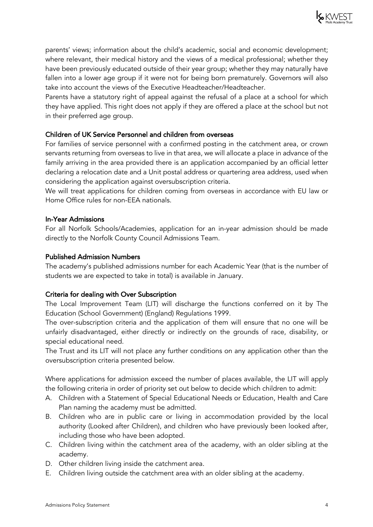

parents' views; information about the child's academic, social and economic development; where relevant, their medical history and the views of a medical professional; whether they have been previously educated outside of their year group; whether they may naturally have fallen into a lower age group if it were not for being born prematurely. Governors will also take into account the views of the Executive Headteacher/Headteacher.

Parents have a statutory right of appeal against the refusal of a place at a school for which they have applied. This right does not apply if they are offered a place at the school but not in their preferred age group.

## Children of UK Service Personnel and children from overseas

For families of service personnel with a confirmed posting in the catchment area, or crown servants returning from overseas to live in that area, we will allocate a place in advance of the family arriving in the area provided there is an application accompanied by an official letter declaring a relocation date and a Unit postal address or quartering area address, used when considering the application against oversubscription criteria.

We will treat applications for children coming from overseas in accordance with EU law or Home Office rules for non-EEA nationals.

## In-Year Admissions

For all Norfolk Schools/Academies, application for an in-year admission should be made directly to the Norfolk County Council Admissions Team.

## Published Admission Numbers

The academy's published admissions number for each Academic Year (that is the number of students we are expected to take in total) is available in January.

## Criteria for dealing with Over Subscription

The Local Improvement Team (LIT) will discharge the functions conferred on it by The Education (School Government) (England) Regulations 1999.

The over-subscription criteria and the application of them will ensure that no one will be unfairly disadvantaged, either directly or indirectly on the grounds of race, disability, or special educational need.

The Trust and its LIT will not place any further conditions on any application other than the oversubscription criteria presented below.

Where applications for admission exceed the number of places available, the LIT will apply the following criteria in order of priority set out below to decide which children to admit:

- A. Children with a Statement of Special Educational Needs or Education, Health and Care Plan naming the academy must be admitted.
- B. Children who are in public care or living in accommodation provided by the local authority (Looked after Children), and children who have previously been looked after, including those who have been adopted.
- C. Children living within the catchment area of the academy, with an older sibling at the academy.
- D. Other children living inside the catchment area.
- E. Children living outside the catchment area with an older sibling at the academy.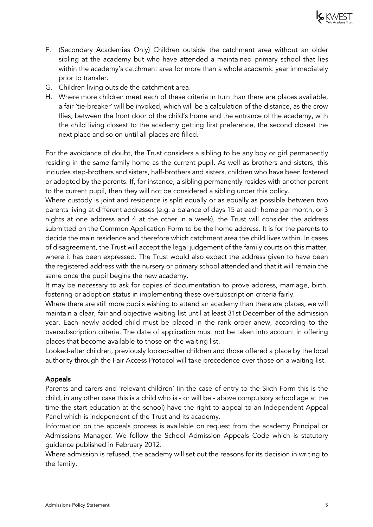

- F. (Secondary Academies Only) Children outside the catchment area without an older sibling at the academy but who have attended a maintained primary school that lies within the academy's catchment area for more than a whole academic year immediately prior to transfer.
- G. Children living outside the catchment area.
- H. Where more children meet each of these criteria in turn than there are places available, a fair 'tie-breaker' will be invoked, which will be a calculation of the distance, as the crow flies, between the front door of the child's home and the entrance of the academy, with the child living closest to the academy getting first preference, the second closest the next place and so on until all places are filled.

For the avoidance of doubt, the Trust considers a sibling to be any boy or girl permanently residing in the same family home as the current pupil. As well as brothers and sisters, this includes step-brothers and sisters, half-brothers and sisters, children who have been fostered or adopted by the parents. If, for instance, a sibling permanently resides with another parent to the current pupil, then they will not be considered a sibling under this policy.

Where custody is joint and residence is split equally or as equally as possible between two parents living at different addresses (e.g. a balance of days 15 at each home per month, or 3 nights at one address and 4 at the other in a week), the Trust will consider the address submitted on the Common Application Form to be the home address. It is for the parents to decide the main residence and therefore which catchment area the child lives within. In cases of disagreement, the Trust will accept the legal judgement of the family courts on this matter, where it has been expressed. The Trust would also expect the address given to have been the registered address with the nursery or primary school attended and that it will remain the same once the pupil begins the new academy.

It may be necessary to ask for copies of documentation to prove address, marriage, birth, fostering or adoption status in implementing these oversubscription criteria fairly.

Where there are still more pupils wishing to attend an academy than there are places, we will maintain a clear, fair and objective waiting list until at least 31st December of the admission year. Each newly added child must be placed in the rank order anew, according to the oversubscription criteria. The date of application must not be taken into account in offering places that become available to those on the waiting list.

Looked-after children, previously looked-after children and those offered a place by the local authority through the Fair Access Protocol will take precedence over those on a waiting list.

## Appeals

Parents and carers and 'relevant children' (in the case of entry to the Sixth Form this is the child, in any other case this is a child who is - or will be - above compulsory school age at the time the start education at the school) have the right to appeal to an Independent Appeal Panel which is independent of the Trust and its academy.

Information on the appeals process is available on request from the academy Principal or Admissions Manager. We follow the School Admission Appeals Code which is statutory guidance published in February 2012.

Where admission is refused, the academy will set out the reasons for its decision in writing to the family.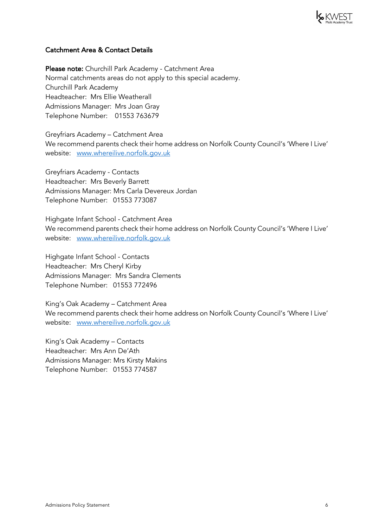

## Catchment Area & Contact Details

Please note: Churchill Park Academy - Catchment Area Normal catchments areas do not apply to this special academy. Churchill Park Academy Headteacher: Mrs Ellie Weatherall Admissions Manager: Mrs Joan Gray Telephone Number: 01553 763679

Greyfriars Academy – Catchment Area We recommend parents check their home address on Norfolk County Council's 'Where I Live' website: www.whereilive.norfolk.gov.uk

Greyfriars Academy - Contacts Headteacher: Mrs Beverly Barrett Admissions Manager: Mrs Carla Devereux Jordan Telephone Number: 01553 773087

Highgate Infant School - Catchment Area We recommend parents check their home address on Norfolk County Council's 'Where I Live' website: www.whereilive.norfolk.gov.uk

Highgate Infant School - Contacts Headteacher: Mrs Cheryl Kirby Admissions Manager: Mrs Sandra Clements Telephone Number: 01553 772496

King's Oak Academy – Catchment Area We recommend parents check their home address on Norfolk County Council's 'Where I Live' website: www.whereilive.norfolk.gov.uk

King's Oak Academy – Contacts Headteacher: Mrs Ann De'Ath Admissions Manager: Mrs Kirsty Makins Telephone Number: 01553 774587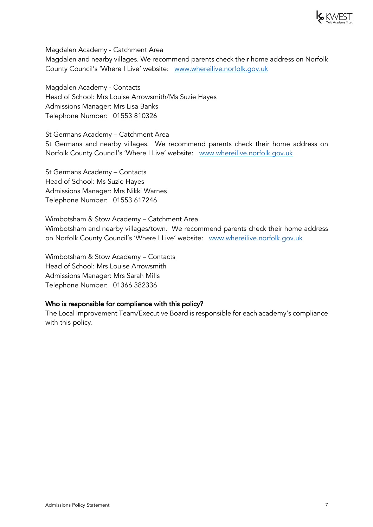

Magdalen Academy - Catchment Area

Magdalen and nearby villages. We recommend parents check their home address on Norfolk County Council's 'Where I Live' website: www.whereilive.norfolk.gov.uk

Magdalen Academy - Contacts Head of School: Mrs Louise Arrowsmith/Ms Suzie Hayes Admissions Manager: Mrs Lisa Banks Telephone Number: 01553 810326

St Germans Academy – Catchment Area St Germans and nearby villages. We recommend parents check their home address on Norfolk County Council's 'Where I Live' website: www.whereilive.norfolk.gov.uk

St Germans Academy – Contacts Head of School: Ms Suzie Hayes Admissions Manager: Mrs Nikki Warnes Telephone Number: 01553 617246

Wimbotsham & Stow Academy – Catchment Area Wimbotsham and nearby villages/town. We recommend parents check their home address on Norfolk County Council's 'Where I Live' website: www.whereilive.norfolk.gov.uk

Wimbotsham & Stow Academy – Contacts Head of School: Mrs Louise Arrowsmith Admissions Manager: Mrs Sarah Mills Telephone Number: 01366 382336

## Who is responsible for compliance with this policy?

The Local Improvement Team/Executive Board is responsible for each academy's compliance with this policy.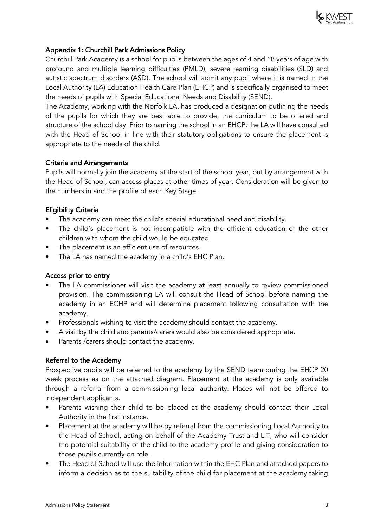

## Appendix 1: Churchill Park Admissions Policy

Churchill Park Academy is a school for pupils between the ages of 4 and 18 years of age with profound and multiple learning difficulties (PMLD), severe learning disabilities (SLD) and autistic spectrum disorders (ASD). The school will admit any pupil where it is named in the Local Authority (LA) Education Health Care Plan (EHCP) and is specifically organised to meet the needs of pupils with Special Educational Needs and Disability (SEND).

The Academy, working with the Norfolk LA, has produced a designation outlining the needs of the pupils for which they are best able to provide, the curriculum to be offered and structure of the school day. Prior to naming the school in an EHCP, the LA will have consulted with the Head of School in line with their statutory obligations to ensure the placement is appropriate to the needs of the child.

## Criteria and Arrangements

Pupils will normally join the academy at the start of the school year, but by arrangement with the Head of School, can access places at other times of year. Consideration will be given to the numbers in and the profile of each Key Stage.

## Eligibility Criteria

- The academy can meet the child's special educational need and disability.
- The child's placement is not incompatible with the efficient education of the other children with whom the child would be educated.
- The placement is an efficient use of resources.
- The LA has named the academy in a child's EHC Plan.

## Access prior to entry

- The LA commissioner will visit the academy at least annually to review commissioned provision. The commissioning LA will consult the Head of School before naming the academy in an ECHP and will determine placement following consultation with the academy.
- Professionals wishing to visit the academy should contact the academy.
- A visit by the child and parents/carers would also be considered appropriate.
- Parents / carers should contact the academy.

## Referral to the Academy

Prospective pupils will be referred to the academy by the SEND team during the EHCP 20 week process as on the attached diagram. Placement at the academy is only available through a referral from a commissioning local authority. Places will not be offered to independent applicants.

- Parents wishing their child to be placed at the academy should contact their Local Authority in the first instance.
- Placement at the academy will be by referral from the commissioning Local Authority to the Head of School, acting on behalf of the Academy Trust and LIT, who will consider the potential suitability of the child to the academy profile and giving consideration to those pupils currently on role.
- The Head of School will use the information within the EHC Plan and attached papers to inform a decision as to the suitability of the child for placement at the academy taking